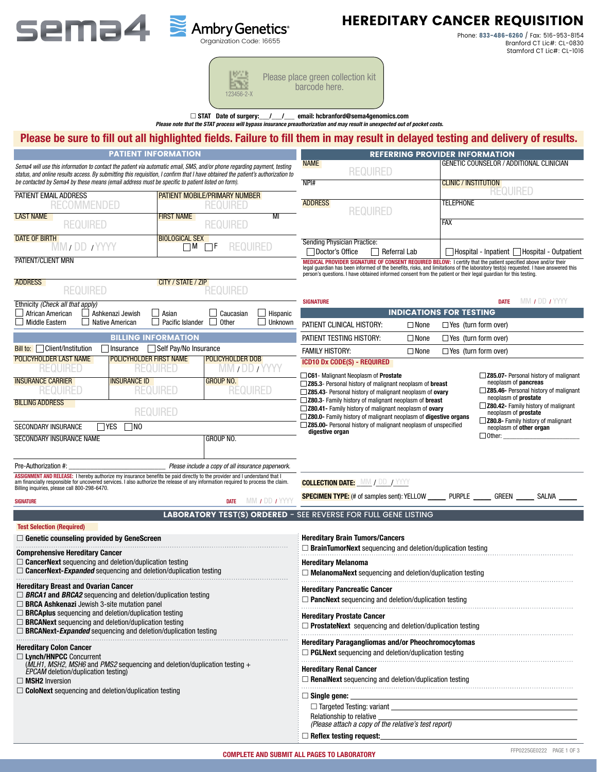

# HEREDITARY CANCER REQUISITION

Phone: 833-486-6260 / Fax: 516-953-8154 Branford CT Lic#: CL-0830 Stamford CT Lic#: CL-1016

| 167.7<br>医喉<br>$123456 - 2 - X$ | Please place green collection kit<br>barcode here. |
|---------------------------------|----------------------------------------------------|
|---------------------------------|----------------------------------------------------|

□ STAT Date of surgery:  $\_$ /  $\_$  email: hcbranford@sema4genomics.com

*Please note that the STAT process will bypass insurance preauthorization and may result in unexpected out of pocket costs.*

## Please be sure to fill out all highlighted fields. Failure to fill them in may result in delayed testing and delivery of results.

| Please be sure to fill out all highlighted fields. Failure to fill them in may result in delayed testing and delivery of results.                                                                                                                                                                                                                                |                                            |                                            |                                                   |                              |                                                                                                                                                                                                                                  |                     |             |                                       |                      |                                                          |
|------------------------------------------------------------------------------------------------------------------------------------------------------------------------------------------------------------------------------------------------------------------------------------------------------------------------------------------------------------------|--------------------------------------------|--------------------------------------------|---------------------------------------------------|------------------------------|----------------------------------------------------------------------------------------------------------------------------------------------------------------------------------------------------------------------------------|---------------------|-------------|---------------------------------------|----------------------|----------------------------------------------------------|
|                                                                                                                                                                                                                                                                                                                                                                  |                                            | <b>PATIENT INFORMATION</b>                 |                                                   |                              |                                                                                                                                                                                                                                  |                     |             | <b>REFERRING PROVIDER INFORMATION</b> |                      |                                                          |
| Sema4 will use this information to contact the patient via automatic email, SMS, and/or phone regarding payment, testing<br>status, and online results access. By submitting this requisition, I confirm that I have obtained the patient's authorization to<br>be contacted by Sema4 by these means (email address must be specific to patient listed on form). |                                            |                                            |                                                   |                              | <b>NAME</b>                                                                                                                                                                                                                      | <b>REQUIRED</b>     |             |                                       |                      | <b>GENETIC COUNSELOR / ADDITIONAL CLINICIAN</b>          |
| PATIENT EMAIL ADDRESS                                                                                                                                                                                                                                                                                                                                            |                                            |                                            | <b>PATIENT MOBILE/PRIMARY NUMBER</b>              |                              | NPI#                                                                                                                                                                                                                             |                     |             | <b>CLINIC / INSTITUTION</b>           | <b>REQUIRED</b>      |                                                          |
| <b>RECOMMENDED</b>                                                                                                                                                                                                                                                                                                                                               |                                            |                                            | <b>REQUIRED</b>                                   |                              | <b>ADDRESS</b>                                                                                                                                                                                                                   |                     |             | <b>TELEPHONE</b>                      |                      |                                                          |
| <b>LAST NAME</b><br><b>REQUIRED</b>                                                                                                                                                                                                                                                                                                                              |                                            | <b>FIRST NAME</b>                          | <b>REQUIRED</b>                                   | $\overline{\mathsf{M}}$      |                                                                                                                                                                                                                                  | <b>REQUIRED</b>     |             | <b>FAX</b>                            |                      |                                                          |
| <b>DATE OF BIRTH</b><br>MM / DD / YYYY                                                                                                                                                                                                                                                                                                                           |                                            | <b>BIOLOGICAL SEX</b><br>$\Box$ M $\Box$ F | <b>REQUIRED</b>                                   |                              | Sending Physician Practice:<br>Doctor's Office                                                                                                                                                                                   | $\Box$ Referral Lab |             |                                       |                      | $\Box$ Hospital - Inpatient $\Box$ Hospital - Outpatient |
| PATIENT/CLIENT MRN                                                                                                                                                                                                                                                                                                                                               |                                            |                                            |                                                   |                              | MEDICAL PROVIDER SIGNATURE OF CONSENT REQUIRED BELOW: I certify that the patient specified above and/or their<br>legal guardian has been informed of the benefits, risks, and limitations of the laboratory test(s) requested. I |                     |             |                                       |                      |                                                          |
| <b>ADDRESS</b><br><b>REQUIRED</b>                                                                                                                                                                                                                                                                                                                                |                                            | CITY / STATE / ZIP                         | REQUIRED                                          |                              |                                                                                                                                                                                                                                  |                     |             |                                       |                      |                                                          |
| Ethnicity (Check all that apply)<br>African American                                                                                                                                                                                                                                                                                                             |                                            | $\Box$ Asian                               |                                                   | Hispanic                     | <b>SIGNATURE</b>                                                                                                                                                                                                                 |                     |             | <b>INDICATIONS FOR TESTING</b>        | <b>DATE</b>          | MM / DD / YYYY                                           |
| Middle Eastern                                                                                                                                                                                                                                                                                                                                                   | Ashkenazi Jewish<br><b>Native American</b> | Pacific Islander                           | Caucasian<br><b>Other</b>                         | Unknown                      | PATIENT CLINICAL HISTORY:                                                                                                                                                                                                        |                     | $\Box$ None | $\Box$ Yes (turn form over)           |                      |                                                          |
|                                                                                                                                                                                                                                                                                                                                                                  |                                            | <b>BILLING INFORMATION</b>                 |                                                   |                              | PATIENT TESTING HISTORY:                                                                                                                                                                                                         |                     | $\Box$ None | $\Box$ Yes (turn form over)           |                      |                                                          |
| Bill to:   Client/Institution                                                                                                                                                                                                                                                                                                                                    | Insurance                                  | Self Pay/No Insurance                      |                                                   |                              | <b>FAMILY HISTORY:</b>                                                                                                                                                                                                           |                     | $\Box$ None | $\Box$ Yes (turn form over)           |                      |                                                          |
| POLICYHOLDER LAST NAME                                                                                                                                                                                                                                                                                                                                           | <b>POLICYHOLDER FIRST NAME</b>             |                                            | POLICYHOLDER DOB                                  |                              | <b>ICD10 Dx CODE(S) - REQUIRED</b>                                                                                                                                                                                               |                     |             |                                       |                      |                                                          |
| <b>REQUIRED</b><br><b>INSURANCE CARRIER</b>                                                                                                                                                                                                                                                                                                                      | <b>INSURANCE ID</b>                        | <b>REQUIRED</b>                            | MM / DD / YYYY<br><b>GROUP NO.</b>                |                              | $\Box$ C61 - Malignant Neoplasm of Prostate                                                                                                                                                                                      |                     |             |                                       |                      | Z85.07- Personal history of malignant                    |
| <b>REQUIRED</b>                                                                                                                                                                                                                                                                                                                                                  |                                            | <b>REQUIRED</b>                            | <b>REQUIRED</b>                                   |                              | □ Z85.3- Personal history of malignant neoplasm of breast<br>Z85.43- Personal history of malignant neoplasm of ovary                                                                                                             |                     |             |                                       | neoplasm of pancreas | Z85.46- Personal history of malignant                    |
| <b>BILLING ADDRESS</b>                                                                                                                                                                                                                                                                                                                                           |                                            |                                            |                                                   |                              | □ Z80.3- Family history of malignant neoplasm of breast                                                                                                                                                                          |                     |             |                                       | neoplasm of prostate | Z80.42- Family history of malignant                      |
|                                                                                                                                                                                                                                                                                                                                                                  |                                            | <b>REQUIRED</b>                            |                                                   |                              | Z80.41- Family history of malignant neoplasm of ovary<br>□ Z80.0- Family history of malignant neoplasm of digestive organs                                                                                                       |                     |             |                                       | neoplasm of prostate | <b>Z80.8-</b> Family history of malignant                |
| SECONDARY INSURANCE                                                                                                                                                                                                                                                                                                                                              | $\Box$ Yes<br>$\sqcap$ NO                  |                                            |                                                   |                              | Z85.00- Personal history of malignant neoplasm of unspecified<br>digestive organ                                                                                                                                                 |                     |             |                                       |                      | neoplasm of other organ                                  |
| SECONDARY INSURANCE NAME                                                                                                                                                                                                                                                                                                                                         |                                            |                                            | GROUP NO.                                         |                              |                                                                                                                                                                                                                                  |                     |             |                                       | $\Box$ Other:        |                                                          |
|                                                                                                                                                                                                                                                                                                                                                                  |                                            |                                            |                                                   |                              |                                                                                                                                                                                                                                  |                     |             |                                       |                      |                                                          |
| Pre-Authorization #:<br>ASSIGNMENT AND RELEASE: I hereby authorize my insurance benefits be paid directly to the provider and I understand that I                                                                                                                                                                                                                |                                            |                                            | Please include a copy of all insurance paperwork. |                              |                                                                                                                                                                                                                                  |                     |             |                                       |                      |                                                          |
| am financially responsible for uncovered services. I also authorize the release of any information required to process the claim.<br>Billing inquiries, please call 800-298-6470.                                                                                                                                                                                |                                            |                                            |                                                   |                              | <b>COLLECTION DATE:</b> MM / DD / YYYY                                                                                                                                                                                           |                     |             |                                       |                      |                                                          |
| SIGNATURE                                                                                                                                                                                                                                                                                                                                                        |                                            |                                            | <b>DATE</b>                                       | MM <i>I</i> DD <i>I</i> YYYY | <b>SPECIMEN TYPE:</b> (# of samples sent): YELLOW _________ PURPLE ________ GREEN _______ SALIVA _                                                                                                                               |                     |             |                                       |                      |                                                          |
|                                                                                                                                                                                                                                                                                                                                                                  |                                            |                                            |                                                   |                              | <b>LABORATORY TEST(S) ORDERED - SEE REVERSE FOR FULL GENE LISTING</b>                                                                                                                                                            |                     |             |                                       |                      |                                                          |
| <b>Test Selection (Required)</b>                                                                                                                                                                                                                                                                                                                                 |                                            |                                            |                                                   |                              |                                                                                                                                                                                                                                  |                     |             |                                       |                      |                                                          |
| $\Box$ Genetic counseling provided by GeneScreen                                                                                                                                                                                                                                                                                                                 |                                            |                                            |                                                   |                              | <b>Hereditary Brain Tumors/Cancers</b><br>$\Box$ BrainTumorNext sequencing and deletion/duplication testing                                                                                                                      |                     |             |                                       |                      |                                                          |
| <b>Comprehensive Hereditary Cancer</b><br>$\Box$ CancerNext sequencing and deletion/duplication testing                                                                                                                                                                                                                                                          |                                            |                                            |                                                   |                              | <b>Hereditary Melanoma</b>                                                                                                                                                                                                       |                     |             |                                       |                      |                                                          |
| $\Box$ CancerNext-Expanded sequencing and deletion/duplication testing                                                                                                                                                                                                                                                                                           |                                            |                                            |                                                   |                              | $\Box$ MelanomaNext sequencing and deletion/duplication testing                                                                                                                                                                  |                     |             |                                       |                      |                                                          |
| <b>Hereditary Breast and Ovarian Cancer</b>                                                                                                                                                                                                                                                                                                                      |                                            |                                            |                                                   |                              | <b>Hereditary Pancreatic Cancer</b>                                                                                                                                                                                              |                     |             |                                       |                      |                                                          |
| $\Box$ BRCA1 and BRCA2 sequencing and deletion/duplication testing<br><b>BRCA Ashkenazi</b> Jewish 3-site mutation panel                                                                                                                                                                                                                                         |                                            |                                            |                                                   |                              | $\Box$ PancNext sequencing and deletion/duplication testing                                                                                                                                                                      |                     |             |                                       |                      |                                                          |
| $\Box$ <b>BRCAplus</b> sequencing and deletion/duplication testing                                                                                                                                                                                                                                                                                               |                                            |                                            |                                                   |                              | <b>Hereditary Prostate Cancer</b>                                                                                                                                                                                                |                     |             |                                       |                      |                                                          |
| $\Box$ <b>BRCANext</b> sequencing and deletion/duplication testing                                                                                                                                                                                                                                                                                               |                                            |                                            |                                                   |                              | $\Box$ ProstateNext sequencing and deletion/duplication testing                                                                                                                                                                  |                     |             |                                       |                      |                                                          |
| $\Box$ BRCANext-Expanded sequencing and deletion/duplication testing                                                                                                                                                                                                                                                                                             |                                            |                                            |                                                   |                              | <b>Hereditary Paragangliomas and/or Pheochromocytomas</b>                                                                                                                                                                        |                     |             |                                       |                      |                                                          |
| <b>Hereditary Colon Cancer</b><br>$\Box$ Lynch/HNPCC Concurrent<br>(MLH1, MSH2, MSH6 and PMS2 sequencing and deletion/duplication testing $+$                                                                                                                                                                                                                    |                                            |                                            |                                                   |                              | $\Box$ PGLNext sequencing and deletion/duplication testing                                                                                                                                                                       |                     |             |                                       |                      |                                                          |
| EPCAM deletion/duplication testing)                                                                                                                                                                                                                                                                                                                              |                                            |                                            |                                                   |                              | <b>Hereditary Renal Cancer</b><br>$\Box$ RenalNext sequencing and deletion/duplication testing                                                                                                                                   |                     |             |                                       |                      |                                                          |
| $\Box$ MSH2 Inversion<br>$\Box$ ColoNext sequencing and deletion/duplication testing                                                                                                                                                                                                                                                                             |                                            |                                            |                                                   |                              |                                                                                                                                                                                                                                  |                     |             |                                       |                      |                                                          |
|                                                                                                                                                                                                                                                                                                                                                                  |                                            |                                            |                                                   |                              | $\Box$ Single gene:                                                                                                                                                                                                              |                     |             |                                       |                      |                                                          |
|                                                                                                                                                                                                                                                                                                                                                                  |                                            |                                            |                                                   |                              | $\Box$ Targeted Testing: variant<br>Relationship to relative                                                                                                                                                                     |                     |             |                                       |                      |                                                          |
|                                                                                                                                                                                                                                                                                                                                                                  |                                            |                                            |                                                   |                              | (Please attach a copy of the relative's test report)                                                                                                                                                                             |                     |             |                                       |                      |                                                          |
|                                                                                                                                                                                                                                                                                                                                                                  |                                            |                                            |                                                   |                              | $\Box$ Reflex testing request:                                                                                                                                                                                                   |                     |             |                                       |                      |                                                          |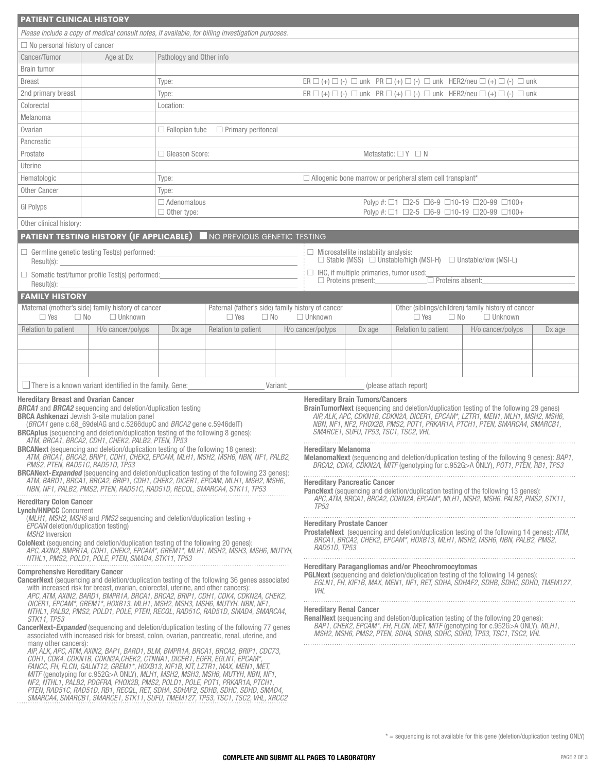| <b>PATIENT CLINICAL HISTORY</b>                                                                                                                                                                                                                                                                                                                                                                                                                                                                                                                                                                                                                                                                                                                                                                                                                                                                                                                                                                                                                                                                                                                                                                                                                                                                                                            |                                                                                                                                                                                                                                                                                      |                                                 |                                                                                                   |                   |                                                                                                                                                                                                                                                                                                                                                                                                                                                                                                                                                                                                                                                                                                                 |                                                                            |                                                                                        |                                                                      |        |  |  |
|--------------------------------------------------------------------------------------------------------------------------------------------------------------------------------------------------------------------------------------------------------------------------------------------------------------------------------------------------------------------------------------------------------------------------------------------------------------------------------------------------------------------------------------------------------------------------------------------------------------------------------------------------------------------------------------------------------------------------------------------------------------------------------------------------------------------------------------------------------------------------------------------------------------------------------------------------------------------------------------------------------------------------------------------------------------------------------------------------------------------------------------------------------------------------------------------------------------------------------------------------------------------------------------------------------------------------------------------|--------------------------------------------------------------------------------------------------------------------------------------------------------------------------------------------------------------------------------------------------------------------------------------|-------------------------------------------------|---------------------------------------------------------------------------------------------------|-------------------|-----------------------------------------------------------------------------------------------------------------------------------------------------------------------------------------------------------------------------------------------------------------------------------------------------------------------------------------------------------------------------------------------------------------------------------------------------------------------------------------------------------------------------------------------------------------------------------------------------------------------------------------------------------------------------------------------------------------|----------------------------------------------------------------------------|----------------------------------------------------------------------------------------|----------------------------------------------------------------------|--------|--|--|
|                                                                                                                                                                                                                                                                                                                                                                                                                                                                                                                                                                                                                                                                                                                                                                                                                                                                                                                                                                                                                                                                                                                                                                                                                                                                                                                                            |                                                                                                                                                                                                                                                                                      |                                                 | Please include a copy of medical consult notes, if available, for billing investigation purposes. |                   |                                                                                                                                                                                                                                                                                                                                                                                                                                                                                                                                                                                                                                                                                                                 |                                                                            |                                                                                        |                                                                      |        |  |  |
| $\Box$ No personal history of cancer                                                                                                                                                                                                                                                                                                                                                                                                                                                                                                                                                                                                                                                                                                                                                                                                                                                                                                                                                                                                                                                                                                                                                                                                                                                                                                       |                                                                                                                                                                                                                                                                                      |                                                 |                                                                                                   |                   |                                                                                                                                                                                                                                                                                                                                                                                                                                                                                                                                                                                                                                                                                                                 |                                                                            |                                                                                        |                                                                      |        |  |  |
| Cancer/Tumor                                                                                                                                                                                                                                                                                                                                                                                                                                                                                                                                                                                                                                                                                                                                                                                                                                                                                                                                                                                                                                                                                                                                                                                                                                                                                                                               | Age at Dx                                                                                                                                                                                                                                                                            | Pathology and Other info                        |                                                                                                   |                   |                                                                                                                                                                                                                                                                                                                                                                                                                                                                                                                                                                                                                                                                                                                 |                                                                            |                                                                                        |                                                                      |        |  |  |
| <b>Brain tumor</b>                                                                                                                                                                                                                                                                                                                                                                                                                                                                                                                                                                                                                                                                                                                                                                                                                                                                                                                                                                                                                                                                                                                                                                                                                                                                                                                         |                                                                                                                                                                                                                                                                                      |                                                 |                                                                                                   |                   |                                                                                                                                                                                                                                                                                                                                                                                                                                                                                                                                                                                                                                                                                                                 |                                                                            |                                                                                        |                                                                      |        |  |  |
| <b>Breast</b>                                                                                                                                                                                                                                                                                                                                                                                                                                                                                                                                                                                                                                                                                                                                                                                                                                                                                                                                                                                                                                                                                                                                                                                                                                                                                                                              |                                                                                                                                                                                                                                                                                      | Type:                                           |                                                                                                   |                   | ER $\Box$ (+) $\Box$ (-) $\Box$ unk PR $\Box$ (+) $\Box$ (-) $\Box$ unk HER2/neu $\Box$ (+) $\Box$ (-) $\Box$ unk                                                                                                                                                                                                                                                                                                                                                                                                                                                                                                                                                                                               |                                                                            |                                                                                        |                                                                      |        |  |  |
| 2nd primary breast                                                                                                                                                                                                                                                                                                                                                                                                                                                                                                                                                                                                                                                                                                                                                                                                                                                                                                                                                                                                                                                                                                                                                                                                                                                                                                                         |                                                                                                                                                                                                                                                                                      | Type:                                           |                                                                                                   |                   | ER $\Box$ (+) $\Box$ (-) $\Box$ unk PR $\Box$ (+) $\Box$ (-) $\Box$ unk HER2/neu $\Box$ (+) $\Box$ (-) $\Box$ unk                                                                                                                                                                                                                                                                                                                                                                                                                                                                                                                                                                                               |                                                                            |                                                                                        |                                                                      |        |  |  |
| Colorectal                                                                                                                                                                                                                                                                                                                                                                                                                                                                                                                                                                                                                                                                                                                                                                                                                                                                                                                                                                                                                                                                                                                                                                                                                                                                                                                                 |                                                                                                                                                                                                                                                                                      | Location:                                       |                                                                                                   |                   |                                                                                                                                                                                                                                                                                                                                                                                                                                                                                                                                                                                                                                                                                                                 |                                                                            |                                                                                        |                                                                      |        |  |  |
| Melanoma                                                                                                                                                                                                                                                                                                                                                                                                                                                                                                                                                                                                                                                                                                                                                                                                                                                                                                                                                                                                                                                                                                                                                                                                                                                                                                                                   |                                                                                                                                                                                                                                                                                      |                                                 |                                                                                                   |                   |                                                                                                                                                                                                                                                                                                                                                                                                                                                                                                                                                                                                                                                                                                                 |                                                                            |                                                                                        |                                                                      |        |  |  |
| Ovarian                                                                                                                                                                                                                                                                                                                                                                                                                                                                                                                                                                                                                                                                                                                                                                                                                                                                                                                                                                                                                                                                                                                                                                                                                                                                                                                                    |                                                                                                                                                                                                                                                                                      | $\Box$ Fallopian tube $\Box$ Primary peritoneal |                                                                                                   |                   |                                                                                                                                                                                                                                                                                                                                                                                                                                                                                                                                                                                                                                                                                                                 |                                                                            |                                                                                        |                                                                      |        |  |  |
| Pancreatic                                                                                                                                                                                                                                                                                                                                                                                                                                                                                                                                                                                                                                                                                                                                                                                                                                                                                                                                                                                                                                                                                                                                                                                                                                                                                                                                 |                                                                                                                                                                                                                                                                                      |                                                 |                                                                                                   |                   |                                                                                                                                                                                                                                                                                                                                                                                                                                                                                                                                                                                                                                                                                                                 |                                                                            |                                                                                        |                                                                      |        |  |  |
| Prostate                                                                                                                                                                                                                                                                                                                                                                                                                                                                                                                                                                                                                                                                                                                                                                                                                                                                                                                                                                                                                                                                                                                                                                                                                                                                                                                                   |                                                                                                                                                                                                                                                                                      | □ Gleason Score:                                |                                                                                                   |                   | Metastatic: $\Box Y \Box N$                                                                                                                                                                                                                                                                                                                                                                                                                                                                                                                                                                                                                                                                                     |                                                                            |                                                                                        |                                                                      |        |  |  |
| Uterine                                                                                                                                                                                                                                                                                                                                                                                                                                                                                                                                                                                                                                                                                                                                                                                                                                                                                                                                                                                                                                                                                                                                                                                                                                                                                                                                    |                                                                                                                                                                                                                                                                                      |                                                 |                                                                                                   |                   |                                                                                                                                                                                                                                                                                                                                                                                                                                                                                                                                                                                                                                                                                                                 |                                                                            |                                                                                        |                                                                      |        |  |  |
| Hematologic                                                                                                                                                                                                                                                                                                                                                                                                                                                                                                                                                                                                                                                                                                                                                                                                                                                                                                                                                                                                                                                                                                                                                                                                                                                                                                                                |                                                                                                                                                                                                                                                                                      | Type:                                           |                                                                                                   |                   | $\Box$ Allogenic bone marrow or peripheral stem cell transplant*                                                                                                                                                                                                                                                                                                                                                                                                                                                                                                                                                                                                                                                |                                                                            |                                                                                        |                                                                      |        |  |  |
| <b>Other Cancer</b>                                                                                                                                                                                                                                                                                                                                                                                                                                                                                                                                                                                                                                                                                                                                                                                                                                                                                                                                                                                                                                                                                                                                                                                                                                                                                                                        |                                                                                                                                                                                                                                                                                      | Type:                                           |                                                                                                   |                   |                                                                                                                                                                                                                                                                                                                                                                                                                                                                                                                                                                                                                                                                                                                 |                                                                            |                                                                                        |                                                                      |        |  |  |
| GI Polyps                                                                                                                                                                                                                                                                                                                                                                                                                                                                                                                                                                                                                                                                                                                                                                                                                                                                                                                                                                                                                                                                                                                                                                                                                                                                                                                                  |                                                                                                                                                                                                                                                                                      | $\Box$ Adenomatous<br>$\Box$ Other type:        |                                                                                                   |                   |                                                                                                                                                                                                                                                                                                                                                                                                                                                                                                                                                                                                                                                                                                                 |                                                                            | Polyp #: □1 □2-5 □6-9 □10-19 □20-99 □100+<br>Polyp #: □1 □2-5 □6-9 □10-19 □20-99 □100+ |                                                                      |        |  |  |
| Other clinical history:                                                                                                                                                                                                                                                                                                                                                                                                                                                                                                                                                                                                                                                                                                                                                                                                                                                                                                                                                                                                                                                                                                                                                                                                                                                                                                                    |                                                                                                                                                                                                                                                                                      |                                                 |                                                                                                   |                   |                                                                                                                                                                                                                                                                                                                                                                                                                                                                                                                                                                                                                                                                                                                 |                                                                            |                                                                                        |                                                                      |        |  |  |
|                                                                                                                                                                                                                                                                                                                                                                                                                                                                                                                                                                                                                                                                                                                                                                                                                                                                                                                                                                                                                                                                                                                                                                                                                                                                                                                                            |                                                                                                                                                                                                                                                                                      |                                                 | <b>PATIENT TESTING HISTORY (IF APPLICABLE)</b> NO PREVIOUS GENETIC TESTING                        |                   |                                                                                                                                                                                                                                                                                                                                                                                                                                                                                                                                                                                                                                                                                                                 |                                                                            |                                                                                        |                                                                      |        |  |  |
|                                                                                                                                                                                                                                                                                                                                                                                                                                                                                                                                                                                                                                                                                                                                                                                                                                                                                                                                                                                                                                                                                                                                                                                                                                                                                                                                            | $\Box$ Germline genetic testing Test(s) performed:<br>Result(s): the contract of the contract of the contract of the contract of the contract of the contract of the contract of the contract of the contract of the contract of the contract of the contract of the contract of the |                                                 |                                                                                                   |                   |                                                                                                                                                                                                                                                                                                                                                                                                                                                                                                                                                                                                                                                                                                                 | $\Box$ Microsatellite instability analysis:                                | $\Box$ Stable (MSS) $\Box$ Unstable/high (MSI-H) $\Box$ Unstable/low (MSI-L)           |                                                                      |        |  |  |
|                                                                                                                                                                                                                                                                                                                                                                                                                                                                                                                                                                                                                                                                                                                                                                                                                                                                                                                                                                                                                                                                                                                                                                                                                                                                                                                                            | $\Box$ Somatic test/tumor profile Test(s) performed:                                                                                                                                                                                                                                 |                                                 |                                                                                                   |                   |                                                                                                                                                                                                                                                                                                                                                                                                                                                                                                                                                                                                                                                                                                                 | $\Box$ IHC, if multiple primaries, tumor used:<br>$\Box$ Proteins present: | $\Box$ Proteins absent:                                                                |                                                                      |        |  |  |
| Result(s):                                                                                                                                                                                                                                                                                                                                                                                                                                                                                                                                                                                                                                                                                                                                                                                                                                                                                                                                                                                                                                                                                                                                                                                                                                                                                                                                 |                                                                                                                                                                                                                                                                                      |                                                 |                                                                                                   |                   |                                                                                                                                                                                                                                                                                                                                                                                                                                                                                                                                                                                                                                                                                                                 |                                                                            |                                                                                        |                                                                      |        |  |  |
| <b>FAMILY HISTORY</b>                                                                                                                                                                                                                                                                                                                                                                                                                                                                                                                                                                                                                                                                                                                                                                                                                                                                                                                                                                                                                                                                                                                                                                                                                                                                                                                      |                                                                                                                                                                                                                                                                                      |                                                 |                                                                                                   |                   |                                                                                                                                                                                                                                                                                                                                                                                                                                                                                                                                                                                                                                                                                                                 |                                                                            |                                                                                        |                                                                      |        |  |  |
| $\Box$ Yes<br>$\Box$ No                                                                                                                                                                                                                                                                                                                                                                                                                                                                                                                                                                                                                                                                                                                                                                                                                                                                                                                                                                                                                                                                                                                                                                                                                                                                                                                    | Maternal (mother's side) family history of cancer<br>$\Box$ Unknown                                                                                                                                                                                                                  |                                                 | Paternal (father's side) family history of cancer<br>$\Box$ Yes<br>$\Box$ No                      | $\Box$ Unknown    |                                                                                                                                                                                                                                                                                                                                                                                                                                                                                                                                                                                                                                                                                                                 |                                                                            | $\Box$ Yes<br>$\Box$ No                                                                | Other (siblings/children) family history of cancer<br>$\Box$ Unknown |        |  |  |
| Relation to patient                                                                                                                                                                                                                                                                                                                                                                                                                                                                                                                                                                                                                                                                                                                                                                                                                                                                                                                                                                                                                                                                                                                                                                                                                                                                                                                        | H/o cancer/polyps                                                                                                                                                                                                                                                                    | Dx age                                          | Relation to patient                                                                               | H/o cancer/polyps |                                                                                                                                                                                                                                                                                                                                                                                                                                                                                                                                                                                                                                                                                                                 | Dx age                                                                     | Relation to patient                                                                    | H/o cancer/polyps                                                    | Dx age |  |  |
|                                                                                                                                                                                                                                                                                                                                                                                                                                                                                                                                                                                                                                                                                                                                                                                                                                                                                                                                                                                                                                                                                                                                                                                                                                                                                                                                            |                                                                                                                                                                                                                                                                                      |                                                 |                                                                                                   |                   |                                                                                                                                                                                                                                                                                                                                                                                                                                                                                                                                                                                                                                                                                                                 |                                                                            |                                                                                        |                                                                      |        |  |  |
|                                                                                                                                                                                                                                                                                                                                                                                                                                                                                                                                                                                                                                                                                                                                                                                                                                                                                                                                                                                                                                                                                                                                                                                                                                                                                                                                            |                                                                                                                                                                                                                                                                                      |                                                 |                                                                                                   |                   |                                                                                                                                                                                                                                                                                                                                                                                                                                                                                                                                                                                                                                                                                                                 |                                                                            |                                                                                        |                                                                      |        |  |  |
|                                                                                                                                                                                                                                                                                                                                                                                                                                                                                                                                                                                                                                                                                                                                                                                                                                                                                                                                                                                                                                                                                                                                                                                                                                                                                                                                            |                                                                                                                                                                                                                                                                                      |                                                 |                                                                                                   |                   |                                                                                                                                                                                                                                                                                                                                                                                                                                                                                                                                                                                                                                                                                                                 |                                                                            |                                                                                        |                                                                      |        |  |  |
|                                                                                                                                                                                                                                                                                                                                                                                                                                                                                                                                                                                                                                                                                                                                                                                                                                                                                                                                                                                                                                                                                                                                                                                                                                                                                                                                            |                                                                                                                                                                                                                                                                                      |                                                 |                                                                                                   |                   |                                                                                                                                                                                                                                                                                                                                                                                                                                                                                                                                                                                                                                                                                                                 |                                                                            |                                                                                        |                                                                      |        |  |  |
|                                                                                                                                                                                                                                                                                                                                                                                                                                                                                                                                                                                                                                                                                                                                                                                                                                                                                                                                                                                                                                                                                                                                                                                                                                                                                                                                            | $\Box$ There is a known variant identified in the family. Gene:                                                                                                                                                                                                                      |                                                 |                                                                                                   | Variant:          |                                                                                                                                                                                                                                                                                                                                                                                                                                                                                                                                                                                                                                                                                                                 |                                                                            | (please attach report)                                                                 |                                                                      |        |  |  |
| <b>Hereditary Breast and Ovarian Cancer</b><br><b>BRCA1</b> and <b>BRCA2</b> sequencing and deletion/duplication testing<br><b>BRCA Ashkenazi</b> Jewish 3-site mutation panel<br>(BRCA1 gene c.68_69deIAG and c.5266dupC and BRCA2 gene c.5946deIT)<br><b>BRCAplus</b> (sequencing and deletion/duplication testing of the following 8 genes):<br>ATM, BRCA1, BRCA2, CDH1, CHEK2, PALB2, PTEN, TP53<br>BRCANext (sequencing and deletion/duplication testing of the following 18 genes):<br>ATM, BRCA1, BRCA2, BRIP1, CDH1, CHEK2, EPCAM, MLH1, MSH2, MSH6, NBN, NF1, PALB2,<br>PMS2, PTEN, RAD51C, RAD51D, TP53<br><b>BRCANext-Expanded</b> (sequencing and deletion/duplication testing of the following 23 genes):<br>ATM, BARD1, BRCA1, BRCA2, BRIP1, CDH1, CHEK2, DICER1, EPCAM, MLH1, MSH2, MSH6,<br>NBN, NF1, PALB2, PMS2, PTEN, RAD51C, RAD51D, RECQL, SMARCA4, STK11, TP53<br><b>Hereditary Colon Cancer</b><br><b>Lynch/HNPCC</b> Concurrent<br>(MLH1, MSH2, MSH6 and PMS2 sequencing and deletion/duplication testing $+$<br>EPCAM deletion/duplication testing)<br><b>MSH2</b> Inversion<br><b>ColoNext</b> (sequencing and deletion/duplication testing of the following 20 genes):<br>APC, AXIN2, BMPR1A, CDH1, CHEK2, EPCAM*, GREM1*, MLH1, MSH2, MSH3, MSH6, MUTYH,<br>NTHL1, PMS2, POLD1, POLE, PTEN, SMAD4, STK11, TP53 |                                                                                                                                                                                                                                                                                      |                                                 |                                                                                                   |                   | <b>Hereditary Brain Tumors/Cancers</b><br><b>BrainTumorNext</b> (sequencing and deletion/duplication testing of the following 29 genes)<br>AIP, ALK, APC, CDKN1B, CDKN2A, DICER1, EPCAM*, LZTR1, MEN1, MLH1, MSH2, MSH6,<br>NBN, NF1, NF2, PHOX2B, PMS2, POT1, PRKAR1A, PTCH1, PTEN, SMARCA4, SMARCB1,<br>SMARCE1, SUFU, TP53, TSC1, TSC2, VHL<br><b>Hereditary Melanoma</b><br><b>MelanomaNext</b> (sequencing and deletion/duplication testing of the following 9 genes): <i>BAP1</i> ,<br>BRCA2, CDK4, CDKN2A, MITF (genotyping for c.952G>A ONLY), POT1, PTEN, RB1, TP53<br><b>Hereditary Pancreatic Cancer</b><br><b>PancNext</b> (sequencing and deletion/duplication testing of the following 13 genes): |                                                                            |                                                                                        |                                                                      |        |  |  |
|                                                                                                                                                                                                                                                                                                                                                                                                                                                                                                                                                                                                                                                                                                                                                                                                                                                                                                                                                                                                                                                                                                                                                                                                                                                                                                                                            |                                                                                                                                                                                                                                                                                      |                                                 |                                                                                                   |                   | APC, ATM, BRCA1, BRCA2, CDKN2A, EPCAM*, MLH1, MSH2, MSH6, PALB2, PMS2, STK11,<br>TP <sub>53</sub><br><b>Hereditary Prostate Cancer</b><br><b>ProstateNext</b> (sequencing and deletion/duplication testing of the following 14 genes): ATM,<br>BRCA1, BRCA2, CHEK2, EPCAM*, HOXB13, MLH1, MSH2, MSH6, NBN, PALB2, PMS2,<br>RAD51D, TP53                                                                                                                                                                                                                                                                                                                                                                         |                                                                            |                                                                                        |                                                                      |        |  |  |
| <b>Comprehensive Hereditary Cancer</b><br>CancerNext (sequencing and deletion/duplication testing of the following 36 genes associated<br>with increased risk for breast, ovarian, colorectal, uterine, and other cancers):<br>APC, ATM, AXIN2, BARD1, BMPR1A, BRCA1, BRCA2, BRIP1, CDH1, CDK4, CDKN2A, CHEK2,<br>DICER1, EPCAM*, GREM1*, HOXB13, MLH1, MSH2, MSH3, MSH6, MUTYH, NBN, NF1,<br>NTHL1, PALB2, PMS2, POLD1, POLE, PTEN, RECQL, RAD51C, RAD51D, SMAD4, SMARCA4,<br><b>STK11, TP53</b><br><b>CancerNext-Expanded</b> (sequencing and deletion/duplication testing of the following 77 genes<br>associated with increased risk for breast, colon, ovarian, pancreatic, renal, uterine, and<br>many other cancers):<br>AIP, ALK, APC, ATM, AXIN2, BAP1, BARD1, BLM, BMPR1A, BRCA1, BRCA2, BRIP1, CDC73,<br>CDH1, CDK4, CDKN1B, CDKN2A,CHEK2, CTNNA1, DICER1, EGFR, EGLN1, EPCAM*,<br>FANCC, FH, FLCN, GALNT12, GREM1*, HOXB13, KIF1B, KIT, LZTR1, MAX, MEN1, MET,<br>MITF (genotyping for c.952G>A ONLY), MLH1, MSH2, MSH3, MSH6, MUTYH, NBN, NF1,<br>NF2, NTHL1, PALB2, PDGFRA, PHOX2B, PMS2, POLD1, POLE, POT1, PRKAR1A, PTCH1,<br>PTEN, RAD51C, RAD51D, RB1, RECQL, RET, SDHA, SDHAF2, SDHB, SDHC, SDHD, SMAD4,<br>SMARCA4, SMARCB1, SMARCE1, STK11, SUFU, TMEM127, TP53, TSC1, TSC2, VHL, XRCC2                               |                                                                                                                                                                                                                                                                                      |                                                 |                                                                                                   |                   | <b>Hereditary Paragangliomas and/or Pheochromocytomas</b><br><b>PGLNext</b> (sequencing and deletion/duplication testing of the following 14 genes):<br>EGLN1, FH, KIF1B, MAX, MEN1, NF1, RET, SDHA, SDHAF2, SDHB, SDHC, SDHD, TMEM127,<br>VHL<br><b>Hereditary Renal Cancer</b><br>RenalNext (sequencing and deletion/duplication testing of the following 20 genes):<br>BAP1, CHEK2, EPCAM*, FH, FLCN, MET, MITF (genotyping for c.952G>A ONLY), MLH1,<br>MSH2, MSH6, PMS2, PTEN, SDHA, SDHB, SDHC, SDHD, TP53, TSC1, TSC2, VHL                                                                                                                                                                               |                                                                            |                                                                                        |                                                                      |        |  |  |